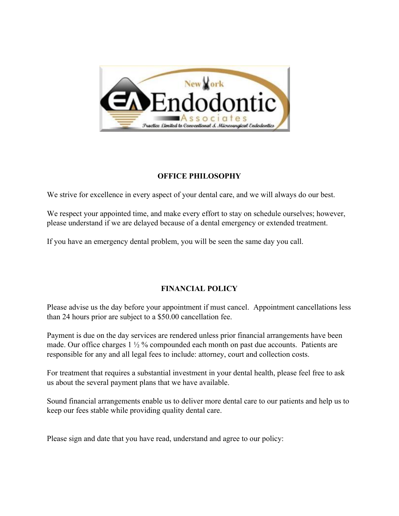

## **OFFICE PHILOSOPHY**

We strive for excellence in every aspect of your dental care, and we will always do our best.

We respect your appointed time, and make every effort to stay on schedule ourselves; however, please understand if we are delayed because of a dental emergency or extended treatment.

If you have an emergency dental problem, you will be seen the same day you call.

## **FINANCIAL POLICY**

Please advise us the day before your appointment if must cancel. Appointment cancellations less than 24 hours prior are subject to a \$50.00 cancellation fee.

Payment is due on the day services are rendered unless prior financial arrangements have been made. Our office charges 1 ½ % compounded each month on past due accounts. Patients are responsible for any and all legal fees to include: attorney, court and collection costs.

For treatment that requires a substantial investment in your dental health, please feel free to ask us about the several payment plans that we have available.

Sound financial arrangements enable us to deliver more dental care to our patients and help us to keep our fees stable while providing quality dental care.

Please sign and date that you have read, understand and agree to our policy: